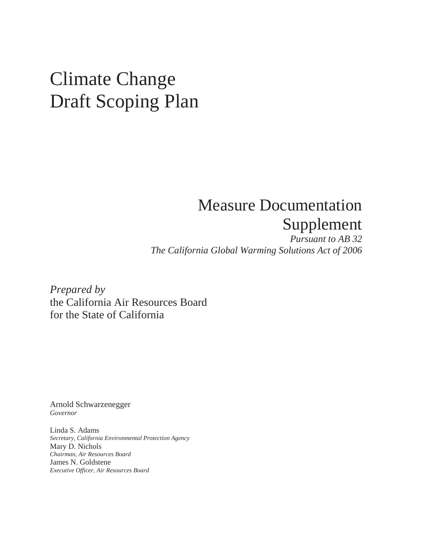# Climate Change Draft Scoping Plan

# Supplement **Measure Documentation**

 *The California Global Warming Solutions Act of 2006 Pursuant to AB 32* 

 *Prepared by*  the California Air Resources Board for the State of California

Arnold Schwarzenegger *Governor* 

 Linda S. Adams Mary D. Nichols James N. Goldstene  *Executive Officer, Air Resources Board Secretary, California Environmental Protection Agency Chairman, Air Resources Board*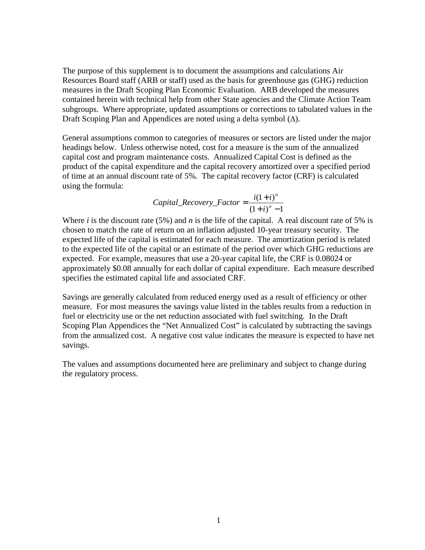Resources Board staff (ARB or staff) used as the basis for greenhouse gas (GHG) reduction measures in the Draft Scoping Plan Economic Evaluation. ARB developed the measures contained herein with technical help from other State agencies and the Climate Action Team subgroups. Where appropriate, updated assumptions or corrections to tabulated values in the Draft Scoping Plan and Appendices are noted using a delta symbol (∆). The purpose of this supplement is to document the assumptions and calculations Air

 General assumptions common to categories of measures or sectors are listed under the major headings below. Unless otherwise noted, cost for a measure is the sum of the annualized capital cost and program maintenance costs. Annualized Capital Cost is defined as the product of the capital expenditure and the capital recovery amortized over a specified period of time at an annual discount rate of 5%. The capital recovery factor (CRF) is calculated using the formula:

*Capital Recovery Factor* = 
$$
\frac{i(1+i)^n}{(1+i)^n - 1}
$$

Where *i* is the discount rate (5%) and *n* is the life of the capital. A real discount rate of 5% is chosen to match the rate of return on an inflation adjusted 10-year treasury security. The expected life of the capital is estimated for each measure. The amortization period is related to the expected life of the capital or an estimate of the period over which GHG reductions are expected. For example, measures that use a 20-year capital life, the CRF is 0.08024 or approximately \$0.08 annually for each dollar of capital expenditure. Each measure described specifies the estimated capital life and associated CRF.

 Savings are generally calculated from reduced energy used as a result of efficiency or other measure. For most measures the savings value listed in the tables results from a reduction in fuel or electricity use or the net reduction associated with fuel switching. In the Draft Scoping Plan Appendices the "Net Annualized Cost" is calculated by subtracting the savings from the annualized cost. A negative cost value indicates the measure is expected to have net savings.

 The values and assumptions documented here are preliminary and subject to change during the regulatory process.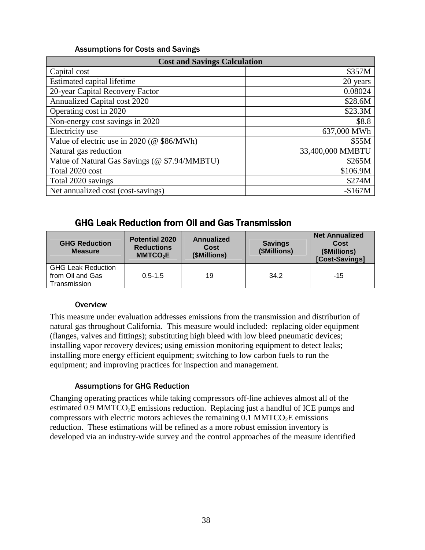| <b>Cost and Savings Calculation</b>           |                  |  |  |  |
|-----------------------------------------------|------------------|--|--|--|
| Capital cost                                  | \$357M           |  |  |  |
| Estimated capital lifetime                    | 20 years         |  |  |  |
| 20-year Capital Recovery Factor               | 0.08024          |  |  |  |
| Annualized Capital cost 2020                  | \$28.6M          |  |  |  |
| Operating cost in 2020                        | \$23.3M          |  |  |  |
| Non-energy cost savings in 2020               | \$8.8            |  |  |  |
| Electricity use                               | 637,000 MWh      |  |  |  |
| Value of electric use in 2020 (@ \$86/MWh)    | \$55M            |  |  |  |
| Natural gas reduction                         | 33,400,000 MMBTU |  |  |  |
| Value of Natural Gas Savings (@ \$7.94/MMBTU) | \$265M           |  |  |  |
| Total 2020 cost                               | \$106.9M         |  |  |  |
| Total 2020 savings                            | \$274M           |  |  |  |
| Net annualized cost (cost-savings)            | $-$167M$         |  |  |  |

# GHG Leak Reduction from Oil and Gas Transmission GHG Leak Reduction from Oil and Gas Transmission

| <b>GHG Reduction</b><br><b>Measure</b>                        | <b>Potential 2020</b><br><b>Reductions</b><br>MMTCO <sub>2</sub> E | Annualized<br>Cost<br>(\$Millions) | <b>Savings</b><br>(\$Millions) | <b>Net Annualized</b><br>Cost<br>(\$Millions)<br>[Cost-Savings] |
|---------------------------------------------------------------|--------------------------------------------------------------------|------------------------------------|--------------------------------|-----------------------------------------------------------------|
| <b>GHG Leak Reduction</b><br>from Oil and Gas<br>Transmission | $0.5 - 1.5$                                                        | 19                                 | 34.2                           | $-15$                                                           |

#### **Overview**

 This measure under evaluation addresses emissions from the transmission and distribution of natural gas throughout California. This measure would included: replacing older equipment (flanges, valves and fittings); substituting high bleed with low bleed pneumatic devices; installing vapor recovery devices; using emission monitoring equipment to detect leaks; installing more energy efficient equipment; switching to low carbon fuels to run the equipment; and improving practices for inspection and management.

#### Assumptions for GHG Reduction

 Changing operating practices while taking compressors off-line achieves almost all of the estimated 0.9 MMTCO<sub>2</sub>E emissions reduction. Replacing just a handful of ICE pumps and compressors with electric motors achieves the remaining  $0.1 \text{ MMTCO}_2E$  emissions reduction. These estimations will be refined as a more robust emission inventory is developed via an industry-wide survey and the control approaches of the measure identified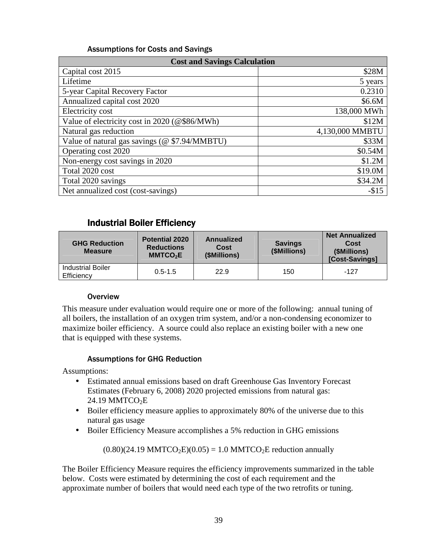| <b>Cost and Savings Calculation</b>           |                 |  |  |  |
|-----------------------------------------------|-----------------|--|--|--|
| Capital cost 2015                             | \$28M           |  |  |  |
| Lifetime                                      | 5 years         |  |  |  |
| 5-year Capital Recovery Factor                | 0.2310          |  |  |  |
| Annualized capital cost 2020                  | \$6.6M          |  |  |  |
| Electricity cost                              | 138,000 MWh     |  |  |  |
| Value of electricity cost in 2020 (@\$86/MWh) | \$12M           |  |  |  |
| Natural gas reduction                         | 4,130,000 MMBTU |  |  |  |
| Value of natural gas savings (@ \$7.94/MMBTU) | \$33M           |  |  |  |
| Operating cost 2020                           | \$0.54M         |  |  |  |
| Non-energy cost savings in 2020               | \$1.2M          |  |  |  |
| Total 2020 cost                               | \$19.0M         |  |  |  |
| Total 2020 savings                            | \$34.2M         |  |  |  |
| Net annualized cost (cost-savings)            | $-$15$          |  |  |  |

# Industrial Boiler Efficiency Industrial Boiler Efficiency

| <b>GHG Reduction</b><br><b>Measure</b> | <b>Potential 2020</b><br><b>Reductions</b><br>MMTCO <sub>2</sub> E | Annualized<br>Cost<br>(\$Millions) | <b>Savings</b><br>(\$Millions) | <b>Net Annualized</b><br>Cost<br>(\$Millions)<br>[Cost-Savings] |
|----------------------------------------|--------------------------------------------------------------------|------------------------------------|--------------------------------|-----------------------------------------------------------------|
| <b>Industrial Boiler</b><br>Efficiency | $0.5 - 1.5$                                                        | 22.9                               | 150                            | $-127$                                                          |

#### **Overview**

 This measure under evaluation would require one or more of the following: annual tuning of all boilers, the installation of an oxygen trim system, and/or a non-condensing economizer to maximize boiler efficiency. A source could also replace an existing boiler with a new one that is equipped with these systems.

#### Assumptions for GHG Reduction

Assumptions:

- • Estimated annual emissions based on draft Greenhouse Gas Inventory Forecast Estimates (February 6, 2008) 2020 projected emissions from natural gas: 24.19 MMTCO<sub>2</sub>E
- • Boiler efficiency measure applies to approximately 80% of the universe due to this natural gas usage
- Boiler Efficiency Measure accomplishes a 5% reduction in GHG emissions

 $(0.80)(24.19 \text{ MMTCO}_2E)(0.05) = 1.0 \text{ MMTCO}_2E$  $(0.80)(24.19 \text{ MMTCO}_2E)(0.05) = 1.0 \text{ MMTCO}_2E$  $(0.80)(24.19 \text{ MMTCO}_2E)(0.05) = 1.0 \text{ MMTCO}_2E$  reduction annually

 The Boiler Efficiency Measure requires the efficiency improvements summarized in the table below. Costs were estimated by determining the cost of each requirement and the approximate number of boilers that would need each type of the two retrofits or tuning.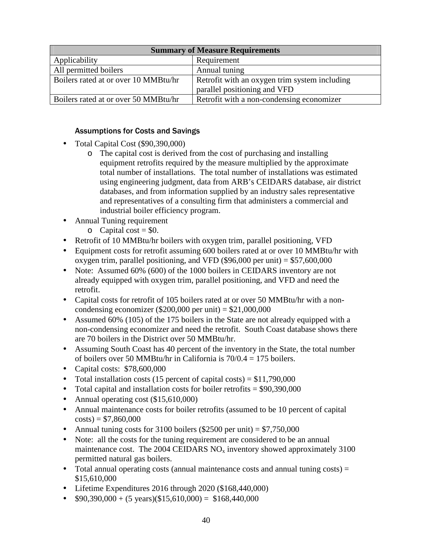| <b>Summary of Measure Requirements</b> |                                               |  |  |
|----------------------------------------|-----------------------------------------------|--|--|
| Applicability                          | Requirement                                   |  |  |
| All permitted boilers                  | Annual tuning                                 |  |  |
| Boilers rated at or over 10 MMBtu/hr   | Retrofit with an oxygen trim system including |  |  |
|                                        | parallel positioning and VFD                  |  |  |
| Boilers rated at or over 50 MMBtu/hr   | Retrofit with a non-condensing economizer     |  |  |

- • Total Capital Cost (\$90,390,000)
	- o The capital cost is derived from the cost of purchasing and installing equipment retrofits required by the measure multiplied by the approximate total number of installations. The total number of installations was estimated using engineering judgment, data from ARB's CEIDARS database, air district databases, and from information supplied by an industry sales representative and representatives of a consulting firm that administers a commercial and industrial boiler efficiency program.
- • Annual Tuning requirement
	- $\circ$  Capital cost = \$0.
- Retrofit of 10 MMBtu/hr boilers with oxygen trim, parallel positioning, VFD
- • Equipment costs for retrofit assuming 600 boilers rated at or over 10 MMBtu/hr with oxygen trim, parallel positioning, and VFD (\$96,000 per unit) = \$57,600,000
- Note: Assumed 60% (600) of the 1000 boilers in CEIDARS inventory are not already equipped with oxygen trim, parallel positioning, and VFD and need the retrofit.
- • Capital costs for retrofit of 105 boilers rated at or over 50 MMBtu/hr with a noncondensing economizer (\$200,000 per unit) =  $$21,000,000$
- Assumed 60% (105) of the 175 boilers in the State are not already equipped with a non-condensing economizer and need the retrofit. South Coast database shows there are 70 boilers in the District over 50 MMBtu/hr.
- • Assuming South Coast has 40 percent of the inventory in the State, the total number of boilers over 50 MMBtu/hr in California is 70/0.4 = 175 boilers.
- Capital costs: \$78,600,000
- Total installation costs (15 percent of capital costs) =  $$11,790,000$
- Total capital and installation costs for boiler retrofits  $= $90,390,000$
- Annual operating cost (\$15,610,000)
- • Annual maintenance costs for boiler retrofits (assumed to be 10 percent of capital  $costs) = $7,860,000$
- Annual tuning costs for 3100 boilers (\$2500 per unit)  $= $7,750,000$
- Note: all the costs for the tuning requirement are considered to be an annual maintenance cost. The 2004 CEIDARS  $NO<sub>x</sub>$  inventory showed approximately 3100 permitted natural gas boilers.
- Total annual operating costs (annual maintenance costs and annual tuning costs) = \$15,610,000
- Lifetime Expenditures 2016 through 2020 (\$168,440,000)
- $$90,390,000 + (5 \text{ years})(\$15,610,000) = \$168,440,000$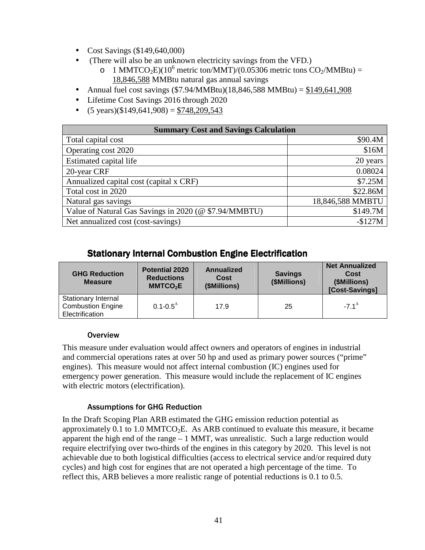- Cost Savings (\$149,640,000)
- • (There will also be an unknown electricity savings from the VFD.)
	- o 1 MMTCO<sub>2</sub>E)(10<sup>6</sup> metric ton/MMT)/(0.05306 metric tons CO<sub>2</sub>/MMBtu) = 18,846,588 MMBtu natural gas annual savings
- Annual fuel cost savings  $(\$7.94/MMBtu)(18,846,588 MMBtu) = $149,641,908$
- Lifetime Cost Savings 2016 through 2020
- $(5 \text{ years})(\$149,641,908) = \$748,209,543$

| <b>Summary Cost and Savings Calculation</b>           |                  |  |  |
|-------------------------------------------------------|------------------|--|--|
| Total capital cost                                    | \$90.4M          |  |  |
| Operating cost 2020                                   | \$16M            |  |  |
| Estimated capital life                                | 20 years         |  |  |
| 20-year CRF                                           | 0.08024          |  |  |
| Annualized capital cost (capital x CRF)               | \$7.25M          |  |  |
| Total cost in 2020                                    | \$22.86M         |  |  |
| Natural gas savings                                   | 18,846,588 MMBTU |  |  |
| Value of Natural Gas Savings in 2020 (@ \$7.94/MMBTU) | \$149.7M         |  |  |
| Net annualized cost (cost-savings)                    | $-$127M$         |  |  |

# Stationary Internal Combustion Engine Electrification Stationary Internal Combustion Engine Electrification

| <b>GHG Reduction</b><br><b>Measure</b>                                    | <b>Potential 2020</b><br><b>Reductions</b><br>MMTCO <sub>2</sub> E | Annualized<br>Cost<br>(\$Millions) | <b>Savings</b><br>(\$Millions) | <b>Net Annualized</b><br><b>Cost</b><br>(\$Millions)<br>[Cost-Savings] |
|---------------------------------------------------------------------------|--------------------------------------------------------------------|------------------------------------|--------------------------------|------------------------------------------------------------------------|
| <b>Stationary Internal</b><br><b>Combustion Engine</b><br>Electrification | $0.1 - 0.5^{\circ}$                                                | 17.9                               | 25                             | $-7.1^{\circ}$                                                         |

#### **Overview**

 This measure under evaluation would affect owners and operators of engines in industrial and commercial operations rates at over 50 hp and used as primary power sources ("prime" engines). This measure would not affect internal combustion (IC) engines used for emergency power generation. This measure would include the replacement of IC engines with electric motors (electrification).

#### Assumptions for GHG Reduction

 In the Draft Scoping Plan ARB estimated the GHG emission reduction potential as approximately 0.1 to  $1.0 \text{ MMTCO}_2E$ . As ARB continued to evaluate this measure, it became apparent the high end of the range – 1 MMT, was unrealistic. Such a large reduction would require electrifying over two-thirds of the engines in this category by 2020. This level is not achievable due to both logistical difficulties (access to electrical service and/or required duty cycles) and high cost for engines that are not operated a high percentage of the time. To reflect this, ARB believes a more realistic range of potential reductions is 0.1 to 0.5.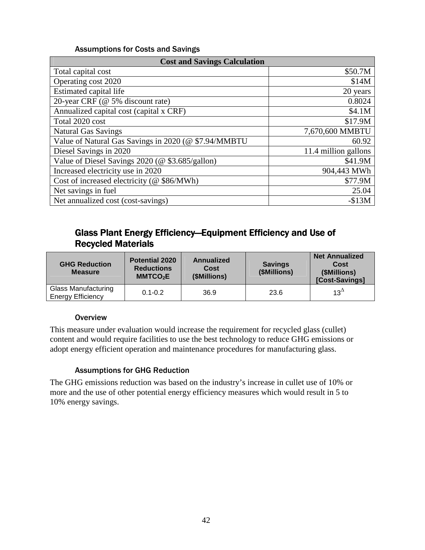| <b>Cost and Savings Calculation</b>                  |                      |  |  |  |
|------------------------------------------------------|----------------------|--|--|--|
| Total capital cost                                   | \$50.7M              |  |  |  |
| Operating cost 2020                                  | \$14M                |  |  |  |
| Estimated capital life                               | 20 years             |  |  |  |
| 20-year CRF (@ 5% discount rate)                     | 0.8024               |  |  |  |
| Annualized capital cost (capital x CRF)              | \$4.1M               |  |  |  |
| Total 2020 cost                                      | \$17.9M              |  |  |  |
| <b>Natural Gas Savings</b>                           | 7,670,600 MMBTU      |  |  |  |
| Value of Natural Gas Savings in 2020 (@ \$7.94/MMBTU | 60.92                |  |  |  |
| Diesel Savings in 2020                               | 11.4 million gallons |  |  |  |
| Value of Diesel Savings 2020 (@ \$3.685/gallon)      | \$41.9M              |  |  |  |
| Increased electricity use in 2020                    | 904,443 MWh          |  |  |  |
| Cost of increased electricity (@ \$86/MWh)           | \$77.9M              |  |  |  |
| Net savings in fuel                                  | 25.04                |  |  |  |
| Net annualized cost (cost-savings)                   | $-$13M$              |  |  |  |

# Glass Plant Energy Efficiency—Equipment Efficiency and Use of Glass Plant Energy Efficiency—Equipment Efficiency and Use of Recycled Materials Recycled Materials

| <b>GHG Reduction</b><br><b>Measure</b>                 | <b>Potential 2020</b><br><b>Reductions</b><br>MMTCO <sub>2</sub> E | Annualized<br>Cost<br>(\$Millions) | <b>Savings</b><br>(\$Millions) | <b>Net Annualized</b><br>Cost<br>(\$Millions)<br>[Cost-Savings] |
|--------------------------------------------------------|--------------------------------------------------------------------|------------------------------------|--------------------------------|-----------------------------------------------------------------|
| <b>Glass Manufacturing</b><br><b>Energy Efficiency</b> | $0.1 - 0.2$                                                        | 36.9                               | 23.6                           | $13^{\circ}$                                                    |

#### **Overview**

 This measure under evaluation would increase the requirement for recycled glass (cullet) content and would require facilities to use the best technology to reduce GHG emissions or adopt energy efficient operation and maintenance procedures for manufacturing glass.

#### Assumptions for GHG Reduction

 The GHG emissions reduction was based on the industry's increase in cullet use of 10% or more and the use of other potential energy efficiency measures which would result in 5 to 10% energy savings.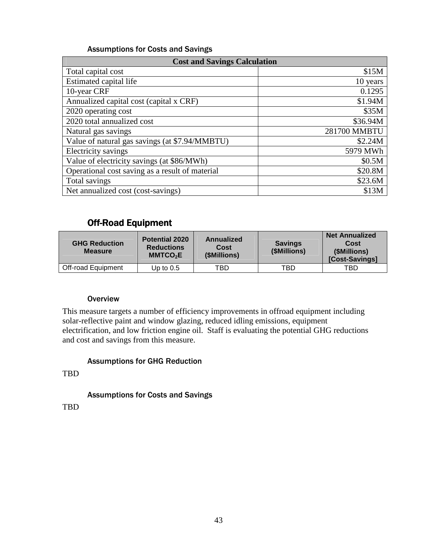| <b>Cost and Savings Calculation</b>             |              |  |  |
|-------------------------------------------------|--------------|--|--|
| Total capital cost                              | \$15M        |  |  |
| Estimated capital life                          | 10 years     |  |  |
| 10-year CRF                                     | 0.1295       |  |  |
| Annualized capital cost (capital x CRF)         | \$1.94M      |  |  |
| 2020 operating cost                             | \$35M        |  |  |
| 2020 total annualized cost                      | \$36.94M     |  |  |
| Natural gas savings                             | 281700 MMBTU |  |  |
| Value of natural gas savings (at \$7.94/MMBTU)  | \$2.24M      |  |  |
| Electricity savings                             | 5979 MWh     |  |  |
| Value of electricity savings (at \$86/MWh)      | \$0.5M       |  |  |
| Operational cost saving as a result of material | \$20.8M      |  |  |
| Total savings                                   | \$23.6M      |  |  |
| Net annualized cost (cost-savings)              | \$13M        |  |  |

# Off-Road Equipment Off-Road Equipment

| <b>GHG Reduction</b><br><b>Measure</b> | <b>Potential 2020</b><br><b>Reductions</b><br><b>MMTCO<sub>2</sub>E</b> | Annualized<br>Cost<br>(\$Millions) | <b>Savings</b><br>(\$Millions) | <b>Net Annualized</b><br>Cost<br>(\$Millions)<br>[Cost-Savings] |
|----------------------------------------|-------------------------------------------------------------------------|------------------------------------|--------------------------------|-----------------------------------------------------------------|
| Off-road Equipment                     | Up to $0.5$                                                             | TBD                                | TBD                            | TBD                                                             |

#### **Overview**

 This measure targets a number of efficiency improvements in offroad equipment including solar-reflective paint and window glazing, reduced idling emissions, equipment electrification, and low friction engine oil. Staff is evaluating the potential GHG reductions and cost and savings from this measure.

#### Assumptions for GHG Reduction

TBD

Assumptions for Costs and Savings

TBD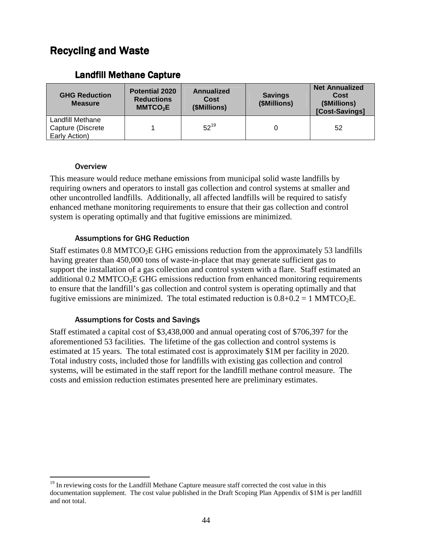# Recycling and Waste Recycling and Waste

| <b>GHG Reduction</b><br><b>Measure</b>                 | <b>Potential 2020</b><br><b>Reductions</b><br>MMTCO <sub>2</sub> E | <b>Annualized</b><br>Cost<br>(\$Millions) | <b>Savings</b><br>(\$Millions) | <b>Net Annualized</b><br>Cost<br>(\$Millions)<br>[Cost-Savings] |
|--------------------------------------------------------|--------------------------------------------------------------------|-------------------------------------------|--------------------------------|-----------------------------------------------------------------|
| Landfill Methane<br>Capture (Discrete<br>Early Action) |                                                                    | $52^{19}$                                 |                                | 52                                                              |

### Landfill Methane Capture Landfill Methane Capture

#### **Overview**

 This measure would reduce methane emissions from municipal solid waste landfills by requiring owners and operators to install gas collection and control systems at smaller and other uncontrolled landfills. Additionally, all affected landfills will be required to satisfy enhanced methane monitoring requirements to ensure that their gas collection and control system is operating optimally and that fugitive emissions are minimized.

#### Assumptions for GHG Reduction

Staff estimates  $0.8 \text{ MMTCO}_2E$  GHG emissions reduction from the approximately 53 landfills having greater than 450,000 tons of waste-in-place that may generate sufficient gas to support the installation of a gas collection and control system with a flare. Staff estimated an additional  $0.2$  MMTCO<sub>2</sub>E GHG emissions reduction from enhanced monitoring requirements to ensure that the landfill's gas collection and control system is operating optimally and that fugitive emissions are minimized. The total estimated reduction is  $0.8+0.2 = 1$  MMTCO<sub>2</sub>E.

#### Assumptions for Costs and Savings

 Staff estimated a capital cost of \$3,438,000 and annual operating cost of \$706,397 for the aforementioned 53 facilities. The lifetime of the gas collection and control systems is estimated at 15 years. The total estimated cost is approximately \$1M per facility in 2020. Total industry costs, included those for landfills with existing gas collection and control systems, will be estimated in the staff report for the landfill methane control measure. The costs and emission reduction estimates presented here are preliminary estimates.

<sup>&</sup>lt;u>.</u> <sup>19</sup> In reviewing costs for the Landfill Methane Capture measure staff corrected the cost value in this documentation supplement. The cost value published in the Draft Scoping Plan Appendix of \$1M is per landfill and not total.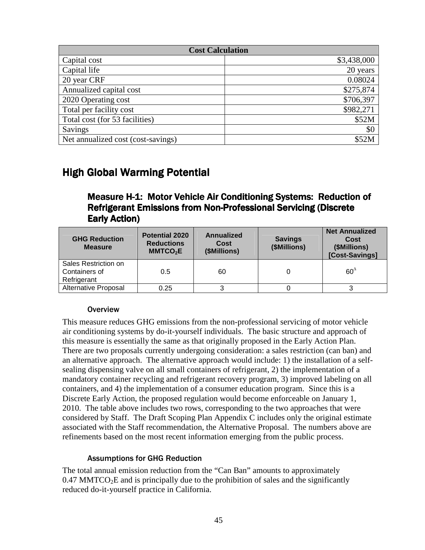| <b>Cost Calculation</b>            |             |  |
|------------------------------------|-------------|--|
| Capital cost                       | \$3,438,000 |  |
| Capital life                       | 20 years    |  |
| 20 year CRF                        | 0.08024     |  |
| Annualized capital cost            | \$275,874   |  |
| 2020 Operating cost                | \$706,397   |  |
| Total per facility cost            | \$982,271   |  |
| Total cost (for 53 facilities)     | \$52M       |  |
| Savings                            | \$0         |  |
| Net annualized cost (cost-savings) | \$52M       |  |

# High Global Warming Potential High Global Warming Potential

# Measure H-1: Motor Vehicle Air Conditioning Systems: Reduction of Measure H-1: Motor Vehicle Air Conditioning Systems: Reduction of Refrigerant Emissions from Non-Professional Servicing (Discrete Refrigerant Emissions from Non-Professional Servicing (Discrete Early Action) Early Action)

| <b>GHG Reduction</b><br><b>Measure</b>               | <b>Potential 2020</b><br><b>Reductions</b><br>MMTCO <sub>2</sub> E | Annualized<br>Cost<br>(\$Millions) | <b>Savings</b><br>(\$Millions) | <b>Net Annualized</b><br>Cost<br>(\$Millions)<br>[Cost-Savings] |
|------------------------------------------------------|--------------------------------------------------------------------|------------------------------------|--------------------------------|-----------------------------------------------------------------|
| Sales Restriction on<br>Containers of<br>Refrigerant | 0.5                                                                | 60                                 |                                | $60^4$                                                          |
| Alternative Proposal                                 | 0.25                                                               |                                    |                                |                                                                 |

#### **Overview**

 This measure reduces GHG emissions from the non-professional servicing of motor vehicle air conditioning systems by do-it-yourself individuals. The basic structure and approach of this measure is essentially the same as that originally proposed in the Early Action Plan. There are two proposals currently undergoing consideration: a sales restriction (can ban) and an alternative approach. The alternative approach would include: 1) the installation of a self- sealing dispensing valve on all small containers of refrigerant, 2) the implementation of a mandatory container recycling and refrigerant recovery program, 3) improved labeling on all containers, and 4) the implementation of a consumer education program. Since this is a Discrete Early Action, the proposed regulation would become enforceable on January 1, 2010. The table above includes two rows, corresponding to the two approaches that were considered by Staff. The Draft Scoping Plan Appendix C includes only the original estimate associated with the Staff recommendation, the Alternative Proposal. The numbers above are refinements based on the most recent information emerging from the public process.

#### Assumptions for GHG Reduction

 The total annual emission reduction from the "Can Ban" amounts to approximately  $0.47$  MMTCO<sub>2</sub>E and is principally due to the prohibition of sales and the significantly reduced do-it-yourself practice in California.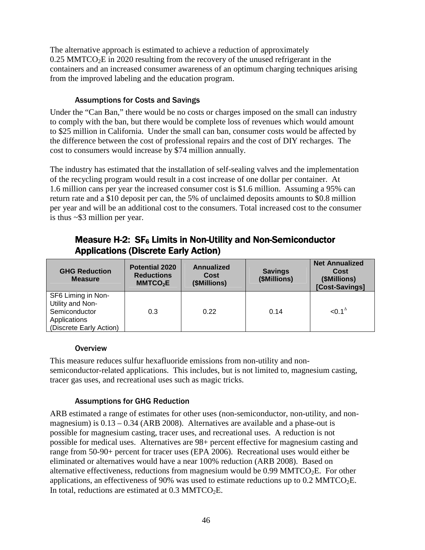The alternative approach is estimated to achieve a reduction of approximately  $0.25$  MMTCO<sub>2</sub>E in 2020 resulting from the recovery of the unused refrigerant in the containers and an increased consumer awareness of an optimum charging techniques arising from the improved labeling and the education program.

#### Assumptions for Costs and Savings

 Under the "Can Ban," there would be no costs or charges imposed on the small can industry to comply with the ban, but there would be complete loss of revenues which would amount to \$25 million in California. Under the small can ban, consumer costs would be affected by the difference between the cost of professional repairs and the cost of DIY recharges. The cost to consumers would increase by \$74 million annually.

 The industry has estimated that the installation of self-sealing valves and the implementation of the recycling program would result in a cost increase of one dollar per container. At 1.6 million cans per year the increased consumer cost is \$1.6 million. Assuming a 95% can return rate and a \$10 deposit per can, the 5% of unclaimed deposits amounts to \$0.8 million per year and will be an additional cost to the consumers. Total increased cost to the consumer is thus ~\$3 million per year.

| <b>GHG Reduction</b><br><b>Measure</b>                                                             | <b>Potential 2020</b><br><b>Reductions</b><br>MMTCO <sub>2</sub> E | Annualized<br>Cost<br>(\$Millions) | <b>Savings</b><br>(\$Millions) | <b>Net Annualized</b><br>Cost<br>(\$Millions)<br>[Cost-Savings] |
|----------------------------------------------------------------------------------------------------|--------------------------------------------------------------------|------------------------------------|--------------------------------|-----------------------------------------------------------------|
| SF6 Liming in Non-<br>Utility and Non-<br>Semiconductor<br>Applications<br>(Discrete Early Action) | 0.3                                                                | 0.22                               | 0.14                           | $< 0.1^\Delta$                                                  |

# Measure H-2: SF6 Limits in Non-Utility and Non-Semiconductor Measure H-2: SF6 Limits in Non-Utility and Non-Semiconductor Applications (Discrete Early Action) Applications (Discrete Early Action)

#### **Overview**

 This measure reduces sulfur hexafluoride emissions from non-utility and non- semiconductor-related applications. This includes, but is not limited to, magnesium casting, tracer gas uses, and recreational uses such as magic tricks.

#### Assumptions for GHG Reduction

 ARB estimated a range of estimates for other uses (non-semiconductor, non-utility, and non- magnesium) is 0.13 – 0.34 (ARB 2008). Alternatives are available and a phase-out is possible for magnesium casting, tracer uses, and recreational uses. A reduction is not range from 50-90+ percent for tracer uses (EPA 2006). Recreational uses would either be eliminated or alternatives would have a near 100% reduction (ARB 2008). Based on alternative effectiveness, reductions from magnesium would be  $0.99 \text{ MMTCO}_2E$ . For other applications, an effectiveness of 90% was used to estimate reductions up to  $0.2 \text{ MMTCO}_2E$ . In total, reductions are estimated at  $0.3 \text{ MMTCO}_2E$ . possible for medical uses. Alternatives are 98+ percent effective for magnesium casting and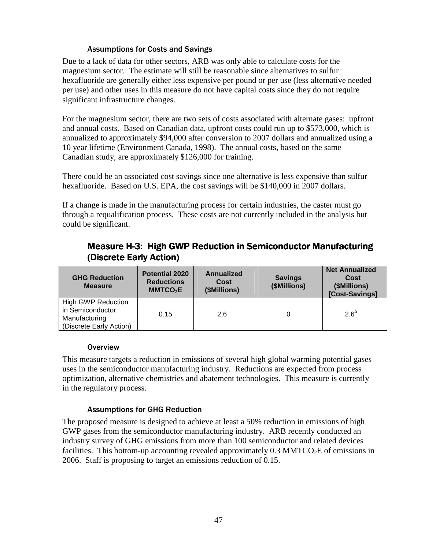Due to a lack of data for other sectors, ARB was only able to calculate costs for the magnesium sector. The estimate will still be reasonable since alternatives to sulfur hexafluoride are generally either less expensive per pound or per use (less alternative needed per use) and other uses in this measure do not have capital costs since they do not require significant infrastructure changes.

 For the magnesium sector, there are two sets of costs associated with alternate gases: upfront and annual costs. Based on Canadian data, upfront costs could run up to \$573,000, which is annualized to approximately \$94,000 after conversion to 2007 dollars and annualized using a 10 year lifetime (Environment Canada, 1998). The annual costs, based on the same Canadian study, are approximately \$126,000 for training.

 There could be an associated cost savings since one alternative is less expensive than sulfur hexafluoride. Based on U.S. EPA, the cost savings will be \$140,000 in 2007 dollars.

 If a change is made in the manufacturing process for certain industries, the caster must go through a requalification process. These costs are not currently included in the analysis but could be significant.

|                         | <b>Measure H-3: High GWP Reduction in Semiconductor Manufacturing</b> |
|-------------------------|-----------------------------------------------------------------------|
| (Discrete Early Action) |                                                                       |

| <b>GHG Reduction</b><br><b>Measure</b>                                                    | <b>Potential 2020</b><br><b>Reductions</b><br>MMTCO <sub>2</sub> E | Annualized<br>Cost<br>(\$Millions) | <b>Savings</b><br>(\$Millions) | <b>Net Annualized</b><br>Cost<br>(\$Millions)<br>[Cost-Savings] |
|-------------------------------------------------------------------------------------------|--------------------------------------------------------------------|------------------------------------|--------------------------------|-----------------------------------------------------------------|
| <b>High GWP Reduction</b><br>in Semiconductor<br>Manufacturing<br>(Discrete Early Action) | 0.15                                                               | 2.6                                |                                | $2.6^{\circ}$                                                   |

#### **Overview**

 This measure targets a reduction in emissions of several high global warming potential gases uses in the semiconductor manufacturing industry. Reductions are expected from process optimization, alternative chemistries and abatement technologies. This measure is currently in the regulatory process.

#### Assumptions for GHG Reduction

 The proposed measure is designed to achieve at least a 50% reduction in emissions of high GWP gases from the semiconductor manufacturing industry. ARB recently conducted an industry survey of GHG emissions from more than 100 semiconductor and related devices facilities. This bottom-up accounting revealed approximately  $0.3 \text{ MMTCO}_2E$  of emissions in 2006. Staff is proposing to target an emissions reduction of 0.15.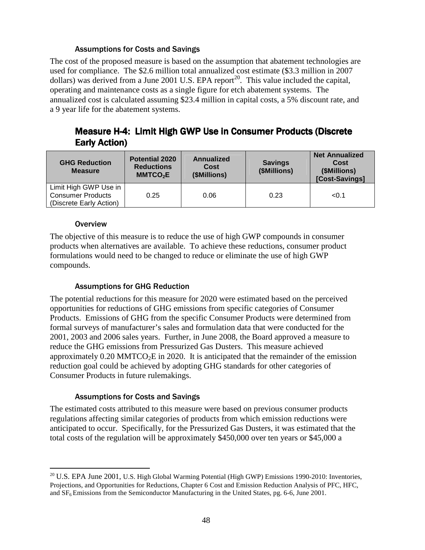The cost of the proposed measure is based on the assumption that abatement technologies are used for compliance. The \$2.6 million total annualized cost estimate (\$3.3 million in 2007 dollars) was derived from a June 2001 U.S. EPA report<sup>20</sup>. This value included the capital, operating and maintenance costs as a single figure for etch abatement systems. The annualized cost is calculated assuming \$23.4 million in capital costs, a 5% discount rate, and a 9 year life for the abatement systems.

# Measure H-4: Limit High GWP Use in Consumer Products (Discrete Measure H-4: Limit High GWP Use in Consumer Products (Discrete Early Action) Early Action)

| <b>GHG Reduction</b><br><b>Measure</b>                                       | <b>Potential 2020</b><br><b>Reductions</b><br>MMTCO <sub>2</sub> E | Annualized<br>Cost<br>(\$Millions) | <b>Savings</b><br>(\$Millions) | <b>Net Annualized</b><br>Cost<br>(\$Millions)<br>[Cost-Savings] |
|------------------------------------------------------------------------------|--------------------------------------------------------------------|------------------------------------|--------------------------------|-----------------------------------------------------------------|
| Limit High GWP Use in<br><b>Consumer Products</b><br>(Discrete Early Action) | 0.25                                                               | 0.06                               | 0.23                           | < 0.1                                                           |

#### **Overview**

 $\overline{a}$ 

 The objective of this measure is to reduce the use of high GWP compounds in consumer products when alternatives are available. To achieve these reductions, consumer product formulations would need to be changed to reduce or eliminate the use of high GWP compounds.

#### Assumptions for GHG Reduction

 The potential reductions for this measure for 2020 were estimated based on the perceived opportunities for reductions of GHG emissions from specific categories of Consumer Products. Emissions of GHG from the specific Consumer Products were determined from formal surveys of manufacturer's sales and formulation data that were conducted for the 2001, 2003 and 2006 sales years. Further, in June 2008, the Board approved a measure to reduce the GHG emissions from Pressurized Gas Dusters. This measure achieved approximately  $0.20 \text{ MMTCO}_2E$  in 2020. It is anticipated that the remainder of the emission reduction goal could be achieved by adopting GHG standards for other categories of Consumer Products in future rulemakings.

#### Assumptions for Costs and Savings

 The estimated costs attributed to this measure were based on previous consumer products regulations affecting similar categories of products from which emission reductions were anticipated to occur. Specifically, for the Pressurized Gas Dusters, it was estimated that the total costs of the regulation will be approximately \$450,000 over ten years or \$45,000 a

<sup>&</sup>lt;sup>20</sup> U.S. EPA June 2001, U.S. High Global Warming Potential (High GWP) Emissions 1990-2010: Inventories, Projections, and Opportunities for Reductions, Chapter 6 Cost and Emission Reduction Analysis of PFC, HFC, and  $SF<sub>6</sub> E$ missions from the Semiconductor Manufacturing in the United States, pg. 6-6, June 2001.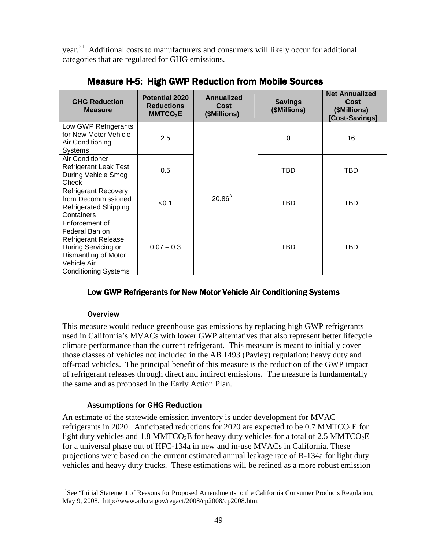year.<sup>21</sup> Additional costs to manufacturers and consumers will likely occur for additional categories that are regulated for GHG emissions.

| <b>GHG Reduction</b><br><b>Measure</b>                                                                                                                      | <b>Potential 2020</b><br><b>Reductions</b><br>MMTCO <sub>2</sub> E | Annualized<br>Cost<br>(\$Millions) | <b>Savings</b><br>(\$Millions) | <b>Net Annualized</b><br>Cost<br>(\$Millions)<br>[Cost-Savings] |
|-------------------------------------------------------------------------------------------------------------------------------------------------------------|--------------------------------------------------------------------|------------------------------------|--------------------------------|-----------------------------------------------------------------|
| Low GWP Refrigerants<br>for New Motor Vehicle<br>Air Conditioning<br><b>Systems</b>                                                                         | 2.5                                                                |                                    | 0                              | 16                                                              |
| <b>Air Conditioner</b><br><b>Refrigerant Leak Test</b><br>During Vehicle Smog<br>Check                                                                      | 0.5                                                                |                                    | TBD                            | TBD                                                             |
| <b>Refrigerant Recovery</b><br>from Decommissioned<br><b>Refrigerated Shipping</b><br>Containers                                                            | < 0.1                                                              | $20.86^{\circ}$                    | TBD                            | TBD                                                             |
| Enforcement of<br>Federal Ban on<br><b>Refrigerant Release</b><br>During Servicing or<br>Dismantling of Motor<br>Vehicle Air<br><b>Conditioning Systems</b> | $0.07 - 0.3$                                                       |                                    | TBD                            | TBD                                                             |

Measure H-5: High GWP Reduction from Mobile Sources Measure H-5: High GWP Reduction from Mobile Sources

#### Low GWP Refrigerants for New Motor Vehicle Air Conditioning Systems Low GWP Refrigerants for New Motor Vehicle Air Conditioning Systems

#### **Overview**

<u>.</u>

 This measure would reduce greenhouse gas emissions by replacing high GWP refrigerants used in California's MVACs with lower GWP alternatives that also represent better lifecycle climate performance than the current refrigerant. This measure is meant to initially cover those classes of vehicles not included in the AB 1493 (Pavley) regulation: heavy duty and off-road vehicles. The principal benefit of this measure is the reduction of the GWP impact of refrigerant releases through direct and indirect emissions. The measure is fundamentally the same and as proposed in the Early Action Plan.

#### Assumptions for GHG Reduction

 An estimate of the statewide emission inventory is under development for MVAC refrigerants in 2020. Anticipated reductions for 2020 are expected to be 0.7 MMTCO<sub>2</sub>E for light duty vehicles and 1.8 MMTCO<sub>2</sub>E for heavy duty vehicles for a total of 2.5 MMTCO<sub>2</sub>E for a universal phase out of HFC-134a in new and in-use MVACs in California. These projections were based on the current estimated annual leakage rate of R-134a for light duty vehicles and heavy duty trucks. These estimations will be refined as a more robust emission

<sup>&</sup>lt;sup>21</sup>See "Initial Statement of Reasons for Proposed Amendments to the California Consumer Products Regulation, May 9, 2008. [http://www.arb.ca.gov/regact/2008/cp2008/cp2008.htm.](http://www.arb.ca.gov/regact/2008/cp2008/cp2008.htm)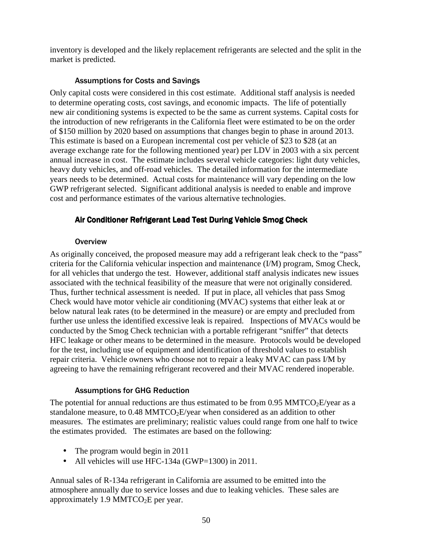inventory is developed and the likely replacement refrigerants are selected and the split in the market is predicted.

#### Assumptions for Costs and Savings

 Only capital costs were considered in this cost estimate. Additional staff analysis is needed to determine operating costs, cost savings, and economic impacts. The life of potentially new air conditioning systems is expected to be the same as current systems. Capital costs for the introduction of new refrigerants in the California fleet were estimated to be on the order of \$150 million by 2020 based on assumptions that changes begin to phase in around 2013. This estimate is based on a European incremental cost per vehicle of \$23 to \$28 (at an average exchange rate for the following mentioned year) per LDV in 2003 with a six percent annual increase in cost. The estimate includes several vehicle categories: light duty vehicles, heavy duty vehicles, and off-road vehicles. The detailed information for the intermediate years needs to be determined. Actual costs for maintenance will vary depending on the low GWP refrigerant selected. Significant additional analysis is needed to enable and improve cost and performance estimates of the various alternative technologies.

#### Air Conditioner Refrigerant Lead Test During Vehicle Smog Check Air Conditioner Refrigerant Lead Test During Vehicle Smog Check

#### **Overview**

 As originally conceived, the proposed measure may add a refrigerant leak check to the "pass" criteria for the California vehicular inspection and maintenance (I/M) program, Smog Check, for all vehicles that undergo the test. However, additional staff analysis indicates new issues associated with the technical feasibility of the measure that were not originally considered. Thus, further technical assessment is needed. If put in place, all vehicles that pass Smog Check would have motor vehicle air conditioning (MVAC) systems that either leak at or below natural leak rates (to be determined in the measure) or are empty and precluded from further use unless the identified excessive leak is repaired. Inspections of MVACs would be conducted by the Smog Check technician with a portable refrigerant "sniffer" that detects HFC leakage or other means to be determined in the measure. Protocols would be developed for the test, including use of equipment and identification of threshold values to establish repair criteria. Vehicle owners who choose not to repair a leaky MVAC can pass I/M by agreeing to have the remaining refrigerant recovered and their MVAC rendered inoperable.

#### Assumptions for GHG Reduction

The potential for annual reductions are thus estimated to be from  $0.95$  MMTCO<sub>2</sub>E/year as a standalone measure, to  $0.48 \text{ MMTCO}_2$ E/year when considered as an addition to other measures. The estimates are preliminary; realistic values could range from one half to twice the estimates provided. The estimates are based on the following:

- The program would begin in 2011
- All vehicles will use HFC-134a (GWP=1300) in 2011.

 Annual sales of R-134a refrigerant in California are assumed to be emitted into the atmosphere annually due to service losses and due to leaking vehicles. These sales are approximately  $1.9 \text{ MMTCO}_2E$  per year.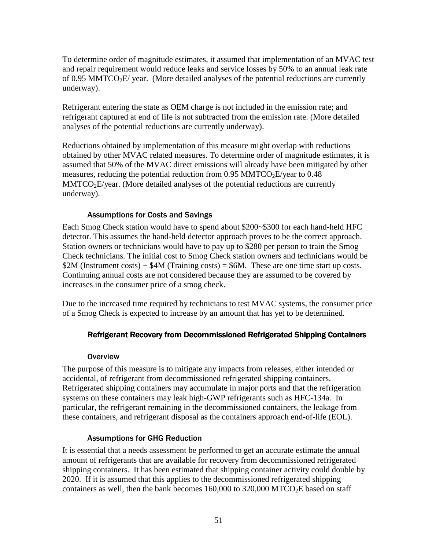To determine order of magnitude estimates, it assumed that implementation of an MVAC test and repair requirement would reduce leaks and service losses by 50% to an annual leak rate of 0.95 MMTCO<sub>2</sub>E/ year. (More detailed analyses of the potential reductions are currently underway).

 Refrigerant entering the state as OEM charge is not included in the emission rate; and refrigerant captured at end of life is not subtracted from the emission rate. (More detailed analyses of the potential reductions are currently underway).

 Reductions obtained by implementation of this measure might overlap with reductions obtained by other MVAC related measures. To determine order of magnitude estimates, it is assumed that 50% of the MVAC direct emissions will already have been mitigated by other measures, reducing the potential reduction from  $0.95$  MMTCO<sub>2</sub>E/year to  $0.48$  $MMTCO<sub>2</sub>E/year.$  (More detailed analyses of the potential reductions are currently underway).

#### Assumptions for Costs and Savings

 Each Smog Check station would have to spend about \$200~\$300 for each hand-held HFC detector. This assumes the hand-held detector approach proves to be the correct approach. Station owners or technicians would have to pay up to \$280 per person to train the Smog Check technicians. The initial cost to Smog Check station owners and technicians would be \$2M (Instrument costs) +  $$4M$  (Training costs) =  $$6M$ . These are one time start up costs. Continuing annual costs are not considered because they are assumed to be covered by increases in the consumer price of a smog check.

 Due to the increased time required by technicians to test MVAC systems, the consumer price of a Smog Check is expected to increase by an amount that has yet to be determined.

#### Refrigerant Recovery from Decommissioned Refrigerated Shipping Containers Refrigerant Recovery from Decommissioned Refrigerated Shipping Containers

#### **Overview**

 The purpose of this measure is to mitigate any impacts from releases, either intended or accidental, of refrigerant from decommissioned refrigerated shipping containers. Refrigerated shipping containers may accumulate in major ports and that the refrigeration systems on these containers may leak high-GWP refrigerants such as HFC-134a. In particular, the refrigerant remaining in the decommissioned containers, the leakage from these containers, and refrigerant disposal as the containers approach end-of-life (EOL).

#### Assumptions for GHG Reduction

 It is essential that a needs assessment be performed to get an accurate estimate the annual amount of refrigerants that are available for recovery from decommissioned refrigerated shipping containers. It has been estimated that shipping container activity could double by 2020. If it is assumed that this applies to the decommissioned refrigerated shipping containers as well, then the bank becomes  $160,000$  to  $320,000$  MTCO<sub>2</sub>E based on staff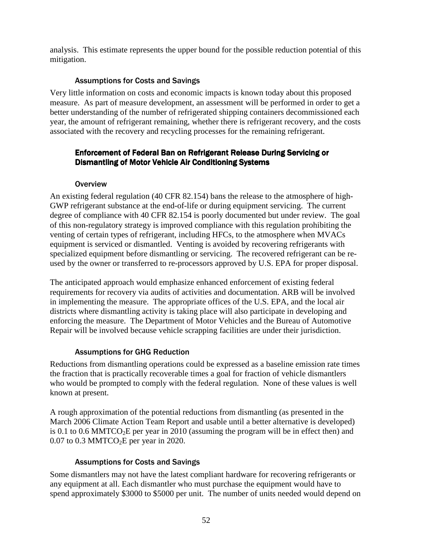analysis. This estimate represents the upper bound for the possible reduction potential of this mitigation.

#### Assumptions for Costs and Savings

 Very little information on costs and economic impacts is known today about this proposed measure. As part of measure development, an assessment will be performed in order to get a better understanding of the number of refrigerated shipping containers decommissioned each year, the amount of refrigerant remaining, whether there is refrigerant recovery, and the costs associated with the recovery and recycling processes for the remaining refrigerant.

#### Enforcement of Federal Ban on Refrigerant Release During Servicing or Enforcement of Federal Ban on Refrigerant Release During Servicing or Dismantling of Motor Vehicle Air Conditioning Systems Dismantling of Motor Vehicle Air Conditioning Systems

#### **Overview**

 An existing federal regulation (40 CFR 82.154) bans the release to the atmosphere of high- GWP refrigerant substance at the end-of-life or during equipment servicing. The current degree of compliance with 40 CFR 82.154 is poorly documented but under review. The goal of this non-regulatory strategy is improved compliance with this regulation prohibiting the venting of certain types of refrigerant, including HFCs, to the atmosphere when MVACs equipment is serviced or dismantled. Venting is avoided by recovering refrigerants with specialized equipment before dismantling or servicing. The recovered refrigerant can be re-used by the owner or transferred to re-processors approved by U.S. EPA for proper disposal.

 The anticipated approach would emphasize enhanced enforcement of existing federal requirements for recovery via audits of activities and documentation. ARB will be involved in implementing the measure. The appropriate offices of the U.S. EPA, and the local air districts where dismantling activity is taking place will also participate in developing and enforcing the measure. The Department of Motor Vehicles and the Bureau of Automotive Repair will be involved because vehicle scrapping facilities are under their jurisdiction.

#### Assumptions for GHG Reduction

 Reductions from dismantling operations could be expressed as a baseline emission rate times the fraction that is practically recoverable times a goal for fraction of vehicle dismantlers who would be prompted to comply with the federal regulation. None of these values is well known at present.

 A rough approximation of the potential reductions from dismantling (as presented in the March 2006 Climate Action Team Report and usable until a better alternative is developed) is 0.1 to 0.6 MMTCO<sub>2</sub>E per year in 2010 (assuming the program will be in effect then) and  $0.07$  to  $0.3$  MMTCO<sub>2</sub>E per year in 2020.

#### Assumptions for Costs and Savings

 Some dismantlers may not have the latest compliant hardware for recovering refrigerants or any equipment at all. Each dismantler who must purchase the equipment would have to spend approximately \$3000 to \$5000 per unit. The number of units needed would depend on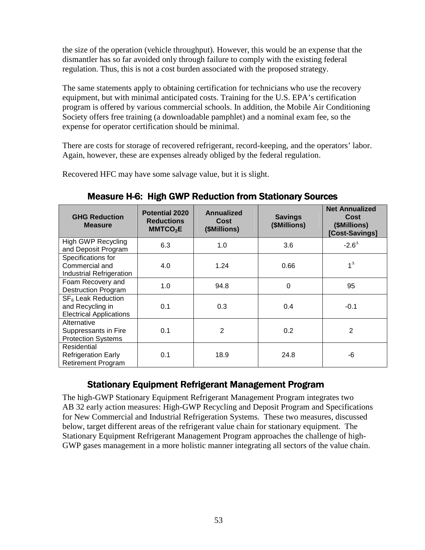the size of the operation (vehicle throughput). However, this would be an expense that the dismantler has so far avoided only through failure to comply with the existing federal regulation. Thus, this is not a cost burden associated with the proposed strategy.

 The same statements apply to obtaining certification for technicians who use the recovery equipment, but with minimal anticipated costs. Training for the U.S. EPA's certification program is offered by various commercial schools. In addition, the Mobile Air Conditioning Society offers free training (a downloadable pamphlet) and a nominal exam fee, so the expense for operator certification should be minimal.

 There are costs for storage of recovered refrigerant, record-keeping, and the operators' labor. Again, however, these are expenses already obliged by the federal regulation.

Recovered HFC may have some salvage value, but it is slight.

| <b>GHG Reduction</b><br><b>Measure</b>                                               | <b>Potential 2020</b><br><b>Reductions</b><br>MMTCO <sub>2</sub> E | Annualized<br>Cost<br>(\$Millions) | <b>Savings</b><br>(\$Millions) | <b>Net Annualized</b><br><b>Cost</b><br>(\$Millions)<br>[Cost-Savings] |
|--------------------------------------------------------------------------------------|--------------------------------------------------------------------|------------------------------------|--------------------------------|------------------------------------------------------------------------|
| <b>High GWP Recycling</b><br>and Deposit Program                                     | 6.3                                                                | 1.0                                | 3.6                            | $-2.6^{\triangle}$                                                     |
| Specifications for<br>Commercial and<br><b>Industrial Refrigeration</b>              | 4.0                                                                | 1.24                               | 0.66                           | $1^{\Delta}$                                                           |
| Foam Recovery and<br><b>Destruction Program</b>                                      | 1.0                                                                | 94.8                               | 0                              | 95                                                                     |
| SF <sub>6</sub> Leak Reduction<br>and Recycling in<br><b>Electrical Applications</b> | 0.1                                                                | 0.3                                | 0.4                            | $-0.1$                                                                 |
| Alternative<br>Suppressants in Fire<br><b>Protection Systems</b>                     | 0.1                                                                | 2                                  | 0.2                            | 2                                                                      |
| Residential<br><b>Refrigeration Early</b><br><b>Retirement Program</b>               | 0.1                                                                | 18.9                               | 24.8                           | -6                                                                     |

Measure H-6: High GWP Reduction from Stationary Sources Measure H-6: High GWP Reduction from Stationary Sources

# Stationary Equipment Refrigerant Management Program Stationary Equipment Refrigerant Management Program

 The high-GWP Stationary Equipment Refrigerant Management Program integrates two AB 32 early action measures: High-GWP Recycling and Deposit Program and Specifications for New Commercial and Industrial Refrigeration Systems. These two measures, discussed below, target different areas of the refrigerant value chain for stationary equipment. The Stationary Equipment Refrigerant Management Program approaches the challenge of high-GWP gases management in a more holistic manner integrating all sectors of the value chain.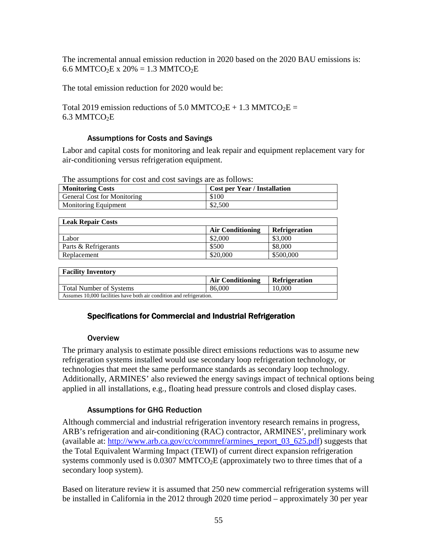The incremental annual emission reduction in 2020 based on the 2020 BAU emissions is: 6.6 MMTCO<sub>2</sub>E x 20% = 1.3 MMTCO<sub>2</sub>E

The total emission reduction for 2020 would be:

Total 2019 emission reductions of 5.0 MMTCO<sub>2</sub>E + 1.3 MMTCO<sub>2</sub>E = 6.3 MMTCO<sub>2</sub>E

#### Assumptions for Costs and Savings

 Labor and capital costs for monitoring and leak repair and equipment replacement vary for air-conditioning versus refrigeration equipment.

The assumptions for cost and cost savings are as follows:

| <b>Monitoring Costs</b>     | <b>Cost per Year / Installation</b> |
|-----------------------------|-------------------------------------|
| General Cost for Monitoring | \$100                               |
| <b>Monitoring Equipment</b> | \$2,500                             |

| <b>Leak Repair Costs</b> |                         |                      |
|--------------------------|-------------------------|----------------------|
|                          | <b>Air Conditioning</b> | <b>Refrigeration</b> |
| Labor                    | \$2,000                 | \$3,000              |
| Parts & Refrigerants     | \$500                   | \$8,000              |
| Replacement              | \$20,000                | \$500,000            |

| <b>Facility Inventory</b>                                            |                         |                      |
|----------------------------------------------------------------------|-------------------------|----------------------|
|                                                                      | <b>Air Conditioning</b> | <b>Refrigeration</b> |
| Total Number of Systems                                              | 86,000                  | 10.000               |
| Assumes 10,000 facilities have both air condition and refrigeration. |                         |                      |

# Specifications for Commercial and Industrial Refrigeration Specifications for Commercial and Industrial Refrigeration Overview

#### Overview

 The primary analysis to estimate possible direct emissions reductions was to assume new refrigeration systems installed would use secondary loop refrigeration technology, or technologies that meet the same performance standards as secondary loop technology. Additionally, ARMINES' also reviewed the energy savings impact of technical options being applied in all installations, e.g., floating head pressure controls and closed display cases.

#### Assumptions for GHG Reduction

 Although commercial and industrial refrigeration inventory research remains in progress, ARB's refrigeration and air-conditioning (RAC) contractor, ARMINES', preliminary work (available at: [http://www.arb.ca.gov/cc/commref/armines\\_report\\_03\\_625.pdf\)](http://www.arb.ca.gov/cc/commref/armines_report_03_625.pdf) suggests that the Total Equivalent Warming Impact (TEWI) of current direct expansion refrigeration systems commonly used is  $0.0307$  MMTCO<sub>2</sub>E (approximately two to three times that of a secondary loop system).

 Based on literature review it is assumed that 250 new commercial refrigeration systems will be installed in California in the 2012 through 2020 time period – approximately 30 per year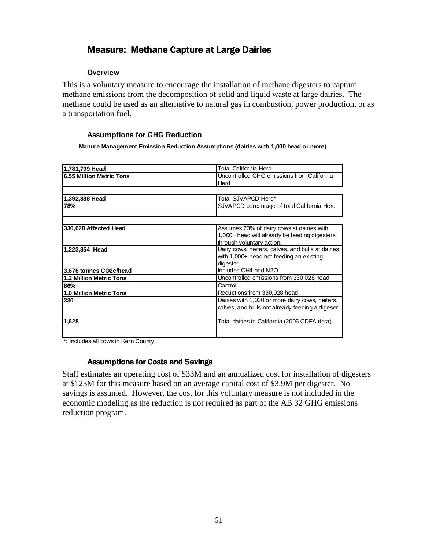# Measure: Methane Capture at Large Dairies Measure: Methane Capture at Large Dairies

#### **Overview**

 This is a voluntary measure to encourage the installation of methane digesters to capture methane emissions from the decomposition of solid and liquid waste at large dairies. The methane could be used as an alternative to natural gas in combustion, power production, or as a transportation fuel.

#### Assumptions for GHG Reduction

 **Manure Management Emission Reduction Assumptions (dairies with 1,000 head or more)** 

| 1,781,799 Head                 | Total California Herd                             |
|--------------------------------|---------------------------------------------------|
| 6.55 Million Metric Tons       | Uncontrolled GHG emissions from California        |
|                                | Herd                                              |
|                                |                                                   |
| 1,392,888 Head                 | Total SJVAPCD Herd*                               |
| 78%                            | SJVAPCD percentage of total California Herd       |
|                                |                                                   |
| 330,028 Affected Head          | Assumes 73% of dairy cows at dairies with         |
|                                | 1,000+ head will already be feeding digesters     |
|                                | through voluntary action.                         |
| 1,223,854 Head                 | Dairy cows, heifers, calves, and bulls at dairies |
|                                | with 1,000+ head not feeding an existing          |
|                                | digester                                          |
| 3.676 tonnes CO2e/head         | Includes CH4 and N2O                              |
| <b>1.2 Million Metric Tons</b> | Uncontrolled emissions from 330,028 head          |
| 86%                            | Control                                           |
| 1.0 Million Metric Tons        | Reductions from 330,028 head                      |
| 330                            | Dairies with 1,000 or more dairy cows, heifers,   |
|                                | calves, and bulls not already feeding a digeser   |
| 1,628                          | Total dairies in California (2006 CDFA data)      |
|                                |                                                   |

\*: Includes all cows in Kern County

#### Assumptions for Costs and Savings Assumptions for Costs and Savings

 Staff estimates an operating cost of \$33M and an annualized cost for installation of digesters at \$123M for this measure based on an average capital cost of \$3.9M per digester. No savings is assumed. However, the cost for this voluntary measure is not included in the economic modeling as the reduction is not required as part of the AB 32 GHG emissions reduction program.